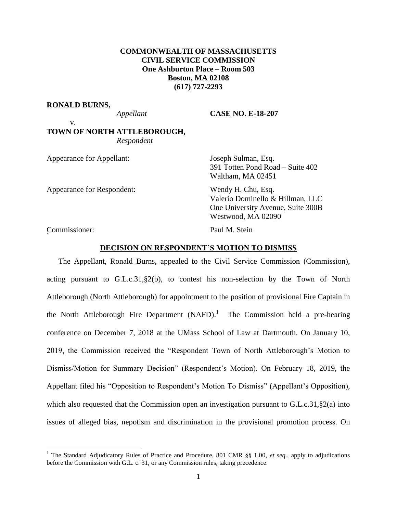# **COMMONWEALTH OF MASSACHUSETTS CIVIL SERVICE COMMISSION One Ashburton Place – Room 503 Boston, MA 02108 (617) 727-2293**

#### **RONALD BURNS,**

v.

*Appellant* **CASE NO. E-18-207**

# **TOWN OF NORTH ATTLEBOROUGH,** *Respondent*

Appearance for Appellant: Joseph Sulman, Esq.

Appearance for Respondent: Wendy H. Chu, Esq.

391 Totten Pond Road – Suite 402 Waltham, MA 02451

Valerio Dominello & Hillman, LLC One University Avenue, Suite 300B Westwood, MA 02090

Commissioner: Paul M. Stein r<br>C

 $\overline{a}$ 

#### **DECISION ON RESPONDENT'S MOTION TO DISMISS**

The Appellant, Ronald Burns, appealed to the Civil Service Commission (Commission), acting pursuant to G.L.c.31,§2(b), to contest his non-selection by the Town of North Attleborough (North Attleborough) for appointment to the position of provisional Fire Captain in the North Attleborough Fire Department  $(NAFD)$ .<sup>1</sup> The Commission held a pre-hearing conference on December 7, 2018 at the UMass School of Law at Dartmouth. On January 10, 2019, the Commission received the "Respondent Town of North Attleborough's Motion to Dismiss/Motion for Summary Decision" (Respondent's Motion). On February 18, 2019, the Appellant filed his "Opposition to Respondent's Motion To Dismiss" (Appellant's Opposition), which also requested that the Commission open an investigation pursuant to G.L.c.31, §2(a) into issues of alleged bias, nepotism and discrimination in the provisional promotion process. On

<sup>1</sup> The Standard Adjudicatory Rules of Practice and Procedure, 801 CMR §§ 1.00, *et seq.*, apply to adjudications before the Commission with G.L. c. 31, or any Commission rules, taking precedence.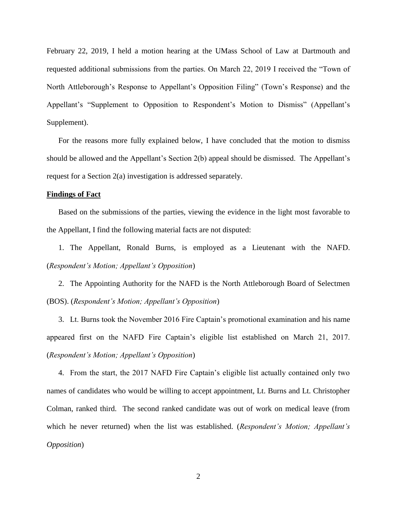February 22, 2019, I held a motion hearing at the UMass School of Law at Dartmouth and requested additional submissions from the parties. On March 22, 2019 I received the "Town of North Attleborough's Response to Appellant's Opposition Filing" (Town's Response) and the Appellant's "Supplement to Opposition to Respondent's Motion to Dismiss" (Appellant's Supplement).

For the reasons more fully explained below, I have concluded that the motion to dismiss should be allowed and the Appellant's Section 2(b) appeal should be dismissed. The Appellant's request for a Section 2(a) investigation is addressed separately.

## **Findings of Fact**

Based on the submissions of the parties, viewing the evidence in the light most favorable to the Appellant, I find the following material facts are not disputed:

1. The Appellant, Ronald Burns, is employed as a Lieutenant with the NAFD. (*Respondent's Motion; Appellant's Opposition*)

2. The Appointing Authority for the NAFD is the North Attleborough Board of Selectmen (BOS). (*Respondent's Motion; Appellant's Opposition*)

3. Lt. Burns took the November 2016 Fire Captain's promotional examination and his name appeared first on the NAFD Fire Captain's eligible list established on March 21, 2017. (*Respondent's Motion; Appellant's Opposition*)

4. From the start, the 2017 NAFD Fire Captain's eligible list actually contained only two names of candidates who would be willing to accept appointment, Lt. Burns and Lt. Christopher Colman, ranked third. The second ranked candidate was out of work on medical leave (from which he never returned) when the list was established. (*Respondent's Motion; Appellant's Opposition*)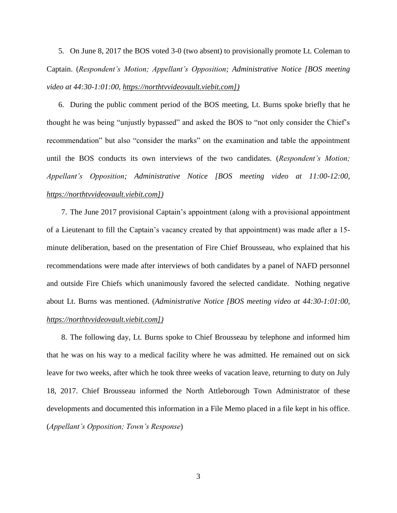5. On June 8, 2017 the BOS voted 3-0 (two absent) to provisionally promote Lt. Coleman to Captain. (*Respondent's Motion; Appellant's Opposition; Administrative Notice [BOS meeting video at 44:30-1:01:00, [https://northtvvideovault.viebit.com\]](https://northtvvideovault.viebit.com/))*

6. During the public comment period of the BOS meeting, Lt. Burns spoke briefly that he thought he was being "unjustly bypassed" and asked the BOS to "not only consider the Chief's recommendation" but also "consider the marks" on the examination and table the appointment until the BOS conducts its own interviews of the two candidates. (*Respondent's Motion; Appellant's Opposition; Administrative Notice [BOS meeting video at 11:00-12:00, [https://northtvvideovault.viebit.com\]](https://northtvvideovault.viebit.com/))*

7. The June 2017 provisional Captain's appointment (along with a provisional appointment of a Lieutenant to fill the Captain's vacancy created by that appointment) was made after a 15 minute deliberation, based on the presentation of Fire Chief Brousseau, who explained that his recommendations were made after interviews of both candidates by a panel of NAFD personnel and outside Fire Chiefs which unanimously favored the selected candidate. Nothing negative about Lt. Burns was mentioned. (*Administrative Notice [BOS meeting video at 44:30-1:01:00, [https://northtvvideovault.viebit.com\]](https://northtvvideovault.viebit.com/))*

8. The following day, Lt. Burns spoke to Chief Brousseau by telephone and informed him that he was on his way to a medical facility where he was admitted. He remained out on sick leave for two weeks, after which he took three weeks of vacation leave, returning to duty on July 18, 2017. Chief Brousseau informed the North Attleborough Town Administrator of these developments and documented this information in a File Memo placed in a file kept in his office. (*Appellant's Opposition; Town's Response*)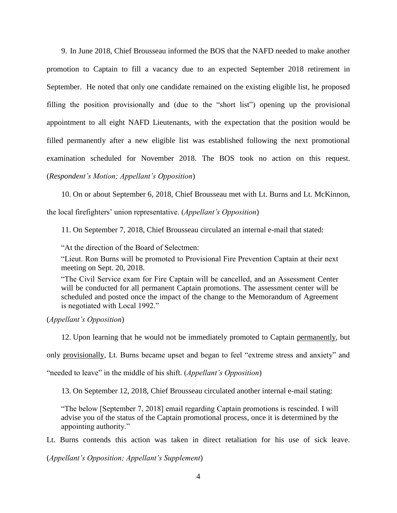9. In June 2018, Chief Brousseau informed the BOS that the NAFD needed to make another promotion to Captain to fill a vacancy due to an expected September 2018 retirement in September. He noted that only one candidate remained on the existing eligible list, he proposed filling the position provisionally and (due to the "short list") opening up the provisional appointment to all eight NAFD Lieutenants, with the expectation that the position would be filled permanently after a new eligible list was established following the next promotional examination scheduled for November 2018. The BOS took no action on this request. (*Respondent's Motion; Appellant's Opposition*)

10. On or about September 6, 2018, Chief Brousseau met with Lt. Burns and Lt. McKinnon,

the local firefighters' union representative. (*Appellant's Opposition*)

11. On September 7, 2018, Chief Brousseau circulated an internal e-mail that stated:

"At the direction of the Board of Selectmen:

"Lieut. Ron Burns will be promoted to Provisional Fire Prevention Captain at their next meeting on Sept. 20, 2018.

"The Civil Service exam for Fire Captain will be cancelled, and an Assessment Center will be conducted for all permanent Captain promotions. The assessment center will be scheduled and posted once the impact of the change to the Memorandum of Agreement is negotiated with Local 1992."

(*Appellant's Opposition*)

12. Upon learning that he would not be immediately promoted to Captain permanently, but

only provisionally, Lt. Burns became upset and began to feel "extreme stress and anxiety" and

"needed to leave" in the middle of his shift. (*Appellant's Opposition*)

13. On September 12, 2018, Chief Brousseau circulated another internal e-mail stating:

"The below [September 7, 2018] email regarding Captain promotions is rescinded. I will advise you of the status of the Captain promotional process, once it is determined by the appointing authority."

Lt. Burns contends this action was taken in direct retaliation for his use of sick leave.

(*Appellant's Opposition; Appellant's Supplement*)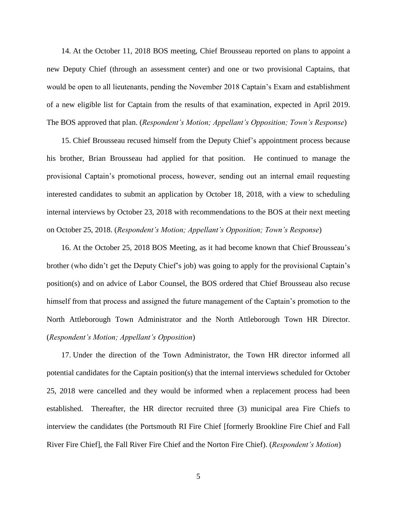14. At the October 11, 2018 BOS meeting, Chief Brousseau reported on plans to appoint a new Deputy Chief (through an assessment center) and one or two provisional Captains, that would be open to all lieutenants, pending the November 2018 Captain's Exam and establishment of a new eligible list for Captain from the results of that examination, expected in April 2019. The BOS approved that plan. (*Respondent's Motion; Appellant's Opposition; Town's Response*)

15. Chief Brousseau recused himself from the Deputy Chief's appointment process because his brother, Brian Brousseau had applied for that position. He continued to manage the provisional Captain's promotional process, however, sending out an internal email requesting interested candidates to submit an application by October 18, 2018, with a view to scheduling internal interviews by October 23, 2018 with recommendations to the BOS at their next meeting on October 25, 2018. (*Respondent's Motion; Appellant's Opposition; Town's Response*)

16. At the October 25, 2018 BOS Meeting, as it had become known that Chief Brousseau's brother (who didn't get the Deputy Chief's job) was going to apply for the provisional Captain's position(s) and on advice of Labor Counsel, the BOS ordered that Chief Brousseau also recuse himself from that process and assigned the future management of the Captain's promotion to the North Attleborough Town Administrator and the North Attleborough Town HR Director. (*Respondent's Motion; Appellant's Opposition*)

17. Under the direction of the Town Administrator, the Town HR director informed all potential candidates for the Captain position(s) that the internal interviews scheduled for October 25, 2018 were cancelled and they would be informed when a replacement process had been established. Thereafter, the HR director recruited three (3) municipal area Fire Chiefs to interview the candidates (the Portsmouth RI Fire Chief [formerly Brookline Fire Chief and Fall River Fire Chief], the Fall River Fire Chief and the Norton Fire Chief). (*Respondent's Motion*)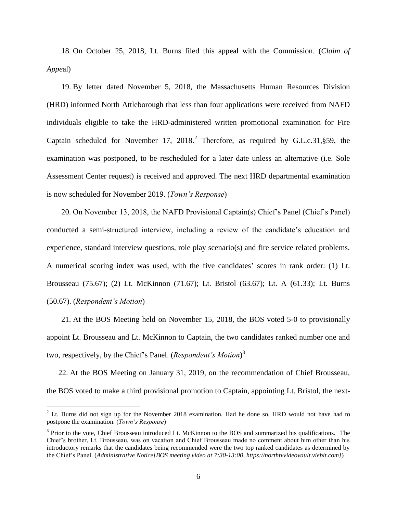18. On October 25, 2018, Lt. Burns filed this appeal with the Commission. (*Claim of Appe*al)

19. By letter dated November 5, 2018, the Massachusetts Human Resources Division (HRD) informed North Attleborough that less than four applications were received from NAFD individuals eligible to take the HRD-administered written promotional examination for Fire Captain scheduled for November 17,  $2018<sup>2</sup>$  Therefore, as required by G.L.c.31, §59, the examination was postponed, to be rescheduled for a later date unless an alternative (i.e. Sole Assessment Center request) is received and approved. The next HRD departmental examination is now scheduled for November 2019. (*Town's Response*)

20. On November 13, 2018, the NAFD Provisional Captain(s) Chief's Panel (Chief's Panel) conducted a semi-structured interview, including a review of the candidate's education and experience, standard interview questions, role play scenario(s) and fire service related problems. A numerical scoring index was used, with the five candidates' scores in rank order: (1) Lt. Brousseau (75.67); (2) Lt. McKinnon (71.67); Lt. Bristol (63.67); Lt. A (61.33); Lt. Burns (50.67). (*Respondent's Motion*)

21. At the BOS Meeting held on November 15, 2018, the BOS voted 5-0 to provisionally appoint Lt. Brousseau and Lt. McKinnon to Captain, the two candidates ranked number one and two, respectively, by the Chief's Panel. (*Respondent's Motion*) 3

22. At the BOS Meeting on January 31, 2019, on the recommendation of Chief Brousseau, the BOS voted to make a third provisional promotion to Captain, appointing Lt. Bristol, the next-

 $\overline{a}$ 

 $2^2$  Lt. Burns did not sign up for the November 2018 examination. Had he done so, HRD would not have had to postpone the examination. (*Town's Response*)

<sup>&</sup>lt;sup>3</sup> Prior to the vote, Chief Brousseau introduced Lt. McKinnon to the BOS and summarized his qualifications. The Chief's brother, Lt. Brousseau, was on vacation and Chief Brousseau made no comment about him other than his introductory remarks that the candidates being recommended were the two top ranked candidates as determined by the Chief's Panel. (*Administrative Notice[BOS meeting video at 7:30-13:00, [https://northtvvideovault.viebit.com\]](https://northtvvideovault.viebit.com/)*)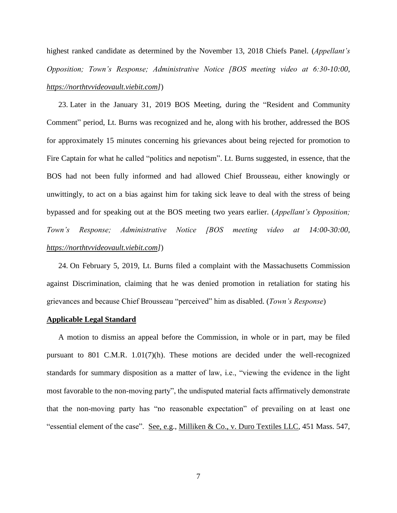highest ranked candidate as determined by the November 13, 2018 Chiefs Panel. (*Appellant's Opposition; Town's Response; Administrative Notice [BOS meeting video at 6:30-10:00, [https://northtvvideovault.viebit.com\]](https://northtvvideovault.viebit.com/)*)

23. Later in the January 31, 2019 BOS Meeting, during the "Resident and Community Comment" period, Lt. Burns was recognized and he, along with his brother, addressed the BOS for approximately 15 minutes concerning his grievances about being rejected for promotion to Fire Captain for what he called "politics and nepotism". Lt. Burns suggested, in essence, that the BOS had not been fully informed and had allowed Chief Brousseau, either knowingly or unwittingly, to act on a bias against him for taking sick leave to deal with the stress of being bypassed and for speaking out at the BOS meeting two years earlier. (*Appellant's Opposition; Town's Response; Administrative Notice [BOS meeting video at 14:00-30:00, [https://northtvvideovault.viebit.com\]](https://northtvvideovault.viebit.com/)*)

24. On February 5, 2019, Lt. Burns filed a complaint with the Massachusetts Commission against Discrimination, claiming that he was denied promotion in retaliation for stating his grievances and because Chief Brousseau "perceived" him as disabled. (*Town's Response*)

#### **Applicable Legal Standard**

A motion to dismiss an appeal before the Commission, in whole or in part, may be filed pursuant to 801 C.M.R. 1.01(7)(h). These motions are decided under the well-recognized standards for summary disposition as a matter of law, i.e., "viewing the evidence in the light most favorable to the non-moving party", the undisputed material facts affirmatively demonstrate that the non-moving party has "no reasonable expectation" of prevailing on at least one "essential element of the case". See, e.g., Milliken & Co., v. Duro Textiles LLC, 451 Mass. 547,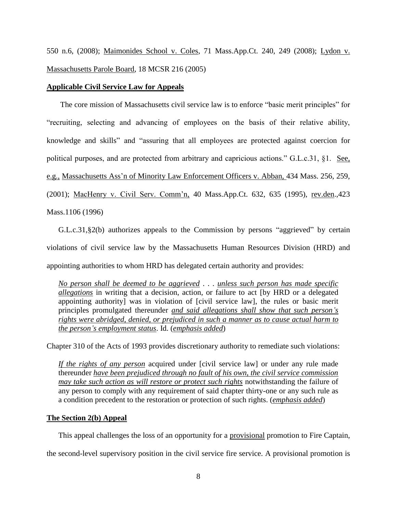550 n.6, (2008); Maimonides School v. Coles, 71 Mass.App.Ct. 240, 249 (2008); Lydon v. Massachusetts Parole Board, 18 MCSR 216 (2005)

# **Applicable Civil Service Law for Appeals**

The core mission of Massachusetts civil service law is to enforce "basic merit principles" for "recruiting, selecting and advancing of employees on the basis of their relative ability, knowledge and skills" and "assuring that all employees are protected against coercion for political purposes, and are protected from arbitrary and capricious actions." G.L.c.31, §1. See, e.g., [Massachusetts Ass'n of Minority Law Enforcement Officers v. Abban,](http://web2.westlaw.com/find/default.wl?mt=Massachusetts&db=578&rs=WLW15.04&tc=-1&rp=%2ffind%2fdefault.wl&findtype=Y&ordoc=2029136022&serialnum=2001441097&vr=2.0&fn=_top&sv=Split&tf=-1&pbc=70F732C1&utid=1) 434 Mass. 256, 259, [\(2001\);](http://web2.westlaw.com/find/default.wl?mt=Massachusetts&db=578&rs=WLW15.04&tc=-1&rp=%2ffind%2fdefault.wl&findtype=Y&ordoc=2029136022&serialnum=2001441097&vr=2.0&fn=_top&sv=Split&tf=-1&pbc=70F732C1&utid=1) MacHenry v. Civil Serv. Comm'n, 40 Mass.App.Ct. 632, 635 (1995), rev.den.,423 Mass.1106 (1996)

G.L.c.31,§2(b) authorizes appeals to the Commission by persons "aggrieved" by certain violations of civil service law by the Massachusetts Human Resources Division (HRD) and appointing authorities to whom HRD has delegated certain authority and provides:

*No person shall be deemed to be aggrieved* . . . *unless such person has made specific allegations* in writing that a decision, action, or failure to act [by HRD or a delegated appointing authority] was in violation of [civil service law], the rules or basic merit principles promulgated thereunder *and said allegations shall show that such person's rights were abridged, denied, or prejudiced in such a manner as to cause actual harm to the person's employment status*. Id. (*emphasis added*)

Chapter 310 of the Acts of 1993 provides discretionary authority to remediate such violations:

*If the rights of any person* acquired under [civil service law] or under any rule made thereunder *have been prejudiced through no fault of his own, the civil service commission may take such action as will restore or protect such rights* notwithstanding the failure of any person to comply with any requirement of said chapter thirty-one or any such rule as a condition precedent to the restoration or protection of such rights. (*emphasis added*)

# **The Section 2(b) Appeal**

This appeal challenges the loss of an opportunity for a provisional promotion to Fire Captain, the second-level supervisory position in the civil service fire service. A provisional promotion is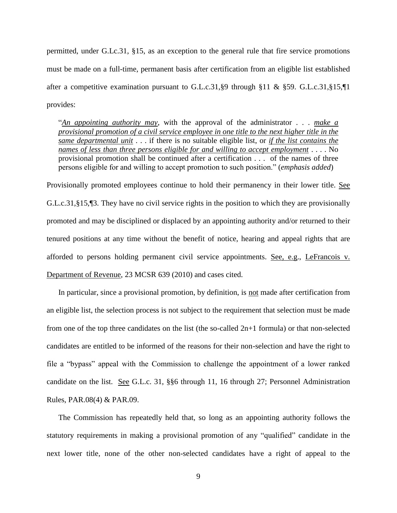permitted, under G.Lc.31, §15, as an exception to the general rule that fire service promotions must be made on a full-time, permanent basis after certification from an eligible list established after a competitive examination pursuant to G.L.c.31, §9 through §11 & §59. G.L.c.31, §15,  $\Pi$ provides:

"*An appointing authority may*, with the approval of the administrator . . . *make a provisional promotion of a civil service employee in one title to the next higher title in the same departmental unit* . . . if there is no suitable eligible list, or *if the list contains the names of less than three persons eligible for and willing to accept employment* . . . . No provisional promotion shall be continued after a certification . . . of the names of three persons eligible for and willing to accept promotion to such position." (*emphasis added*)

Provisionally promoted employees continue to hold their permanency in their lower title. See G.L.c.31,§15,¶3. They have no civil service rights in the position to which they are provisionally promoted and may be disciplined or displaced by an appointing authority and/or returned to their tenured positions at any time without the benefit of notice, hearing and appeal rights that are afforded to persons holding permanent civil service appointments. See, e.g., LeFrancois v. Department of Revenue, 23 MCSR 639 (2010) and cases cited.

In particular, since a provisional promotion, by definition, is not made after certification from an eligible list, the selection process is not subject to the requirement that selection must be made from one of the top three candidates on the list (the so-called  $2n+1$  formula) or that non-selected candidates are entitled to be informed of the reasons for their non-selection and have the right to file a "bypass" appeal with the Commission to challenge the appointment of a lower ranked candidate on the list. See G.L.c. 31, §§6 through 11, 16 through 27; Personnel Administration Rules, PAR.08(4) & PAR.09.

The Commission has repeatedly held that, so long as an appointing authority follows the statutory requirements in making a provisional promotion of any "qualified" candidate in the next lower title, none of the other non-selected candidates have a right of appeal to the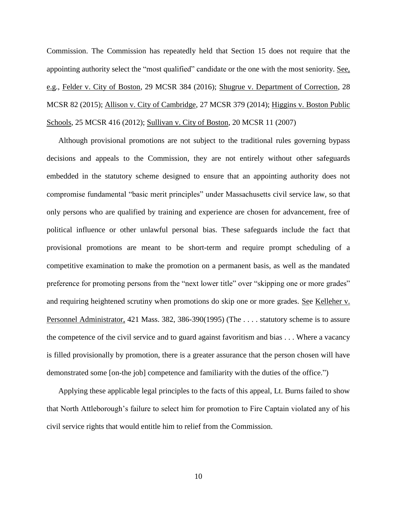Commission. The Commission has repeatedly held that Section 15 does not require that the appointing authority select the "most qualified" candidate or the one with the most seniority. See, e.g., Felder v. City of Boston, 29 MCSR 384 (2016); Shugrue v. Department of Correction, 28 MCSR 82 (2015); Allison v. City of Cambridge, 27 MCSR 379 (2014); Higgins v. Boston Public Schools, 25 MCSR 416 (2012); Sullivan v. City of Boston, 20 MCSR 11 (2007)

Although provisional promotions are not subject to the traditional rules governing bypass decisions and appeals to the Commission, they are not entirely without other safeguards embedded in the statutory scheme designed to ensure that an appointing authority does not compromise fundamental "basic merit principles" under Massachusetts civil service law, so that only persons who are qualified by training and experience are chosen for advancement, free of political influence or other unlawful personal bias. These safeguards include the fact that provisional promotions are meant to be short-term and require prompt scheduling of a competitive examination to make the promotion on a permanent basis, as well as the mandated preference for promoting persons from the "next lower title" over "skipping one or more grades" and requiring heightened scrutiny when promotions do skip one or more grades. See Kelleher v. Personnel Administrator, 421 Mass. 382, 386-390(1995) (The . . . . statutory scheme is to assure the competence of the civil service and to guard against favoritism and bias . . . Where a vacancy is filled provisionally by promotion, there is a greater assurance that the person chosen will have demonstrated some [on-the job] competence and familiarity with the duties of the office.")

Applying these applicable legal principles to the facts of this appeal, Lt. Burns failed to show that North Attleborough's failure to select him for promotion to Fire Captain violated any of his civil service rights that would entitle him to relief from the Commission.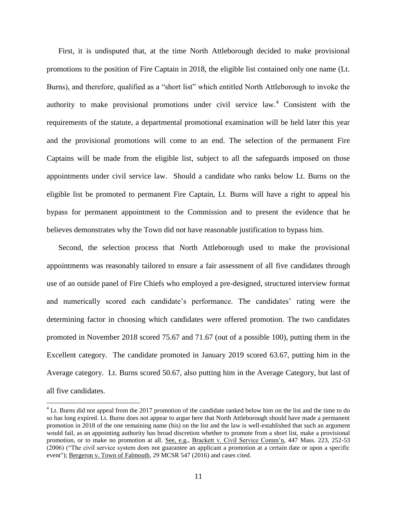First, it is undisputed that, at the time North Attleborough decided to make provisional promotions to the position of Fire Captain in 2018, the eligible list contained only one name (Lt. Burns), and therefore, qualified as a "short list" which entitled North Attleborough to invoke the authority to make provisional promotions under civil service law.<sup>4</sup> Consistent with the requirements of the statute, a departmental promotional examination will be held later this year and the provisional promotions will come to an end. The selection of the permanent Fire Captains will be made from the eligible list, subject to all the safeguards imposed on those appointments under civil service law. Should a candidate who ranks below Lt. Burns on the eligible list be promoted to permanent Fire Captain, Lt. Burns will have a right to appeal his bypass for permanent appointment to the Commission and to present the evidence that he believes demonstrates why the Town did not have reasonable justification to bypass him.

Second, the selection process that North Attleborough used to make the provisional appointments was reasonably tailored to ensure a fair assessment of all five candidates through use of an outside panel of Fire Chiefs who employed a pre-designed, structured interview format and numerically scored each candidate's performance. The candidates' rating were the determining factor in choosing which candidates were offered promotion. The two candidates promoted in November 2018 scored 75.67 and 71.67 (out of a possible 100), putting them in the Excellent category. The candidate promoted in January 2019 scored 63.67, putting him in the Average category. Lt. Burns scored 50.67, also putting him in the Average Category, but last of all five candidates.

 $\overline{a}$ 

<sup>&</sup>lt;sup>4</sup> Lt. Burns did not appeal from the 2017 promotion of the candidate ranked below him on the list and the time to do so has long expired. Lt. Burns does not appear to argue here that North Attleborough should have made a permanent promotion in 2018 of the one remaining name (his) on the list and the law is well-established that such an argument would fail, as an appointing authority has broad discretion whether to promote from a short list, make a provisional promotion, or to make no promotion at all. See, e.g., Brackett v. Civil Service Comm'n, 447 Mass. 223, 252-53 (2006) ("The civil service system does not guarantee an applicant a promotion at a certain date or upon a specific event"); Bergeron v. Town of Falmouth, 29 MCSR 547 (2016) and cases cited.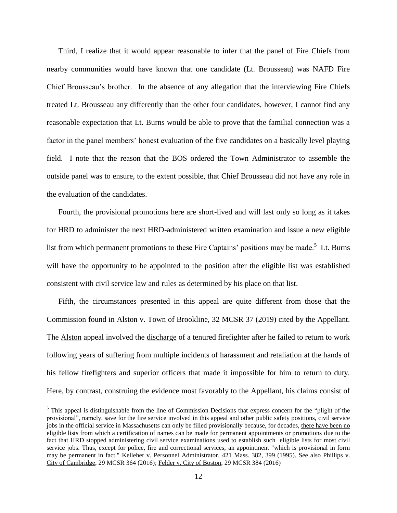Third, I realize that it would appear reasonable to infer that the panel of Fire Chiefs from nearby communities would have known that one candidate (Lt. Brousseau) was NAFD Fire Chief Brousseau's brother. In the absence of any allegation that the interviewing Fire Chiefs treated Lt. Brousseau any differently than the other four candidates, however, I cannot find any reasonable expectation that Lt. Burns would be able to prove that the familial connection was a factor in the panel members' honest evaluation of the five candidates on a basically level playing field. I note that the reason that the BOS ordered the Town Administrator to assemble the outside panel was to ensure, to the extent possible, that Chief Brousseau did not have any role in the evaluation of the candidates.

Fourth, the provisional promotions here are short-lived and will last only so long as it takes for HRD to administer the next HRD-administered written examination and issue a new eligible list from which permanent promotions to these Fire Captains' positions may be made.<sup>5</sup> Lt. Burns will have the opportunity to be appointed to the position after the eligible list was established consistent with civil service law and rules as determined by his place on that list.

Fifth, the circumstances presented in this appeal are quite different from those that the Commission found in Alston v. Town of Brookline, 32 MCSR 37 (2019) cited by the Appellant. The Alston appeal involved the discharge of a tenured firefighter after he failed to return to work following years of suffering from multiple incidents of harassment and retaliation at the hands of his fellow firefighters and superior officers that made it impossible for him to return to duty. Here, by contrast, construing the evidence most favorably to the Appellant, his claims consist of

 $\overline{a}$ 

 $<sup>5</sup>$  This appeal is distinguishable from the line of Commission Decisions that express concern for the "plight of the</sup> provisional", namely, save for the fire service involved in this appeal and other public safety positions, civil service jobs in the official service in Massachusetts can only be filled provisionally because, for decades, there have been no eligible lists from which a certification of names can be made for permanent appointments or promotions due to the fact that HRD stopped administering civil service examinations used to establish such eligible lists for most civil service jobs. Thus, except for police, fire and correctional services, an appointment "which is provisional in form may be permanent in fact." Kelleher v. Personnel Administrator, 421 Mass. 382, 399 (1995). See also Phillips v. City of Cambridge, 29 MCSR 364 (2016); Felder v. City of Boston, 29 MCSR 384 (2016)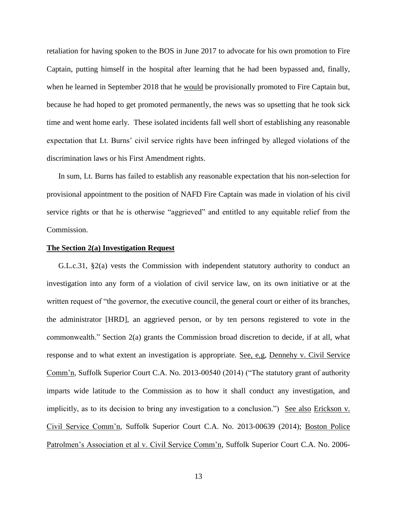retaliation for having spoken to the BOS in June 2017 to advocate for his own promotion to Fire Captain, putting himself in the hospital after learning that he had been bypassed and, finally, when he learned in September 2018 that he would be provisionally promoted to Fire Captain but, because he had hoped to get promoted permanently, the news was so upsetting that he took sick time and went home early. These isolated incidents fall well short of establishing any reasonable expectation that Lt. Burns' civil service rights have been infringed by alleged violations of the discrimination laws or his First Amendment rights.

In sum, Lt. Burns has failed to establish any reasonable expectation that his non-selection for provisional appointment to the position of NAFD Fire Captain was made in violation of his civil service rights or that he is otherwise "aggrieved" and entitled to any equitable relief from the Commission.

## **The Section 2(a) Investigation Request**

G.L.c.31, §2(a) vests the Commission with independent statutory authority to conduct an investigation into any form of a violation of civil service law, on its own initiative or at the written request of "the governor, the executive council, the general court or either of its branches, the administrator [HRD], an aggrieved person, or by ten persons registered to vote in the commonwealth." Section 2(a) grants the Commission broad discretion to decide, if at all, what response and to what extent an investigation is appropriate. See, e,g, Dennehy v. Civil Service Comm'n, Suffolk Superior Court C.A. No. 2013-00540 (2014) ("The statutory grant of authority imparts wide latitude to the Commission as to how it shall conduct any investigation, and implicitly, as to its decision to bring any investigation to a conclusion.") See also Erickson v. Civil Service Comm'n, Suffolk Superior Court C.A. No. 2013-00639 (2014); Boston Police Patrolmen's Association et al v. Civil Service Comm'n, Suffolk Superior Court C.A. No. 2006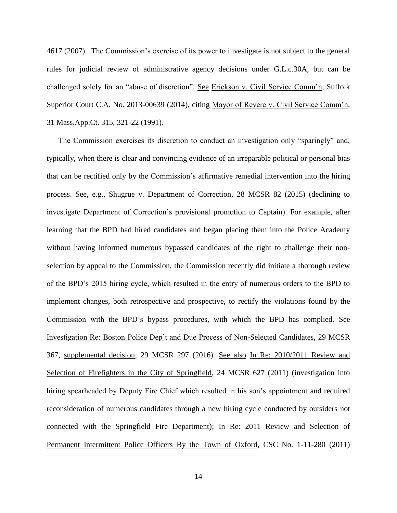4617 (2007). The Commission's exercise of its power to investigate is not subject to the general rules for judicial review of administrative agency decisions under G.L.c.30A, but can be challenged solely for an "abuse of discretion". See Erickson v. Civil Service Comm'n, Suffolk Superior Court C.A. No. 2013-00639 (2014), citing Mayor of Revere v. Civil Service Comm'n, 31 Mass.App.Ct. 315, 321-22 (1991).

The Commission exercises its discretion to conduct an investigation only "sparingly" and, typically, when there is clear and convincing evidence of an irreparable political or personal bias that can be rectified only by the Commission's affirmative remedial intervention into the hiring process. See, e.g., Shugrue v. Department of Correction, 28 MCSR 82 (2015) (declining to investigate Department of Correction's provisional promotion to Captain). For example, after learning that the BPD had hired candidates and began placing them into the Police Academy without having informed numerous bypassed candidates of the right to challenge their nonselection by appeal to the Commission, the Commission recently did initiate a thorough review of the BPD's 2015 hiring cycle, which resulted in the entry of numerous orders to the BPD to implement changes, both retrospective and prospective, to rectify the violations found by the Commission with the BPD's bypass procedures, with which the BPD has complied. See Investigation Re: Boston Police Dep't and Due Process of Non-Selected Candidates, 29 MCSR 367, supplemental decision, 29 MCSR 297 (2016). See also In Re: 2010/2011 Review and Selection of Firefighters in the City of Springfield, 24 MCSR 627 (2011) (investigation into hiring spearheaded by Deputy Fire Chief which resulted in his son's appointment and required reconsideration of numerous candidates through a new hiring cycle conducted by outsiders not connected with the Springfield Fire Department); In Re: 2011 Review and Selection of Permanent Intermittent Police Officers By the Town of Oxford, CSC No. 1-11-280 (2011)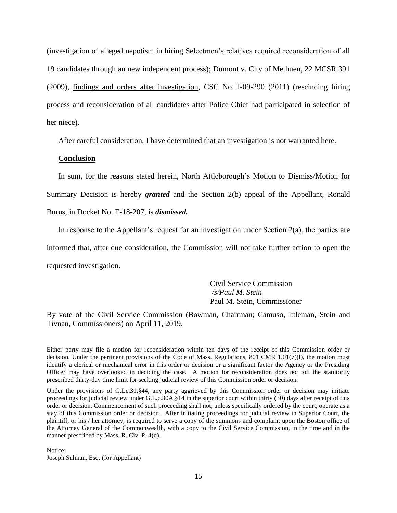(investigation of alleged nepotism in hiring Selectmen's relatives required reconsideration of all 19 candidates through an new independent process); Dumont v. City of Methuen, 22 MCSR 391 (2009), findings and orders after investigation, CSC No. I-09-290 (2011) (rescinding hiring process and reconsideration of all candidates after Police Chief had participated in selection of her niece).

After careful consideration, I have determined that an investigation is not warranted here.

# **Conclusion**

In sum, for the reasons stated herein, North Attleborough's Motion to Dismiss/Motion for Summary Decision is hereby *granted* and the Section 2(b) appeal of the Appellant, Ronald Burns, in Docket No. E-18-207, is *dismissed.* 

In response to the Appellant's request for an investigation under Section 2(a), the parties are informed that, after due consideration, the Commission will not take further action to open the requested investigation.

> Civil Service Commission */s/Paul M. Stein*  Paul M. Stein, Commissioner

By vote of the Civil Service Commission (Bowman, Chairman; Camuso, Ittleman, Stein and Tivnan, Commissioners) on April 11, 2019.

Either party may file a motion for reconsideration within ten days of the receipt of this Commission order or decision. Under the pertinent provisions of the Code of Mass. Regulations, 801 CMR 1.01(7)(l), the motion must identify a clerical or mechanical error in this order or decision or a significant factor the Agency or the Presiding Officer may have overlooked in deciding the case. A motion for reconsideration does not toll the statutorily prescribed thirty-day time limit for seeking judicial review of this Commission order or decision.

Under the provisions of G.Lc.31, §44, any party aggrieved by this Commission order or decision may initiate proceedings for judicial review under G.L.c.30A,§14 in the superior court within thirty (30) days after receipt of this order or decision. Commencement of such proceeding shall not, unless specifically ordered by the court, operate as a stay of this Commission order or decision. After initiating proceedings for judicial review in Superior Court, the plaintiff, or his / her attorney, is required to serve a copy of the summons and complaint upon the Boston office of the Attorney General of the Commonwealth, with a copy to the Civil Service Commission, in the time and in the manner prescribed by Mass. R. Civ. P. 4(d).

Notice: Joseph Sulman, Esq. (for Appellant)